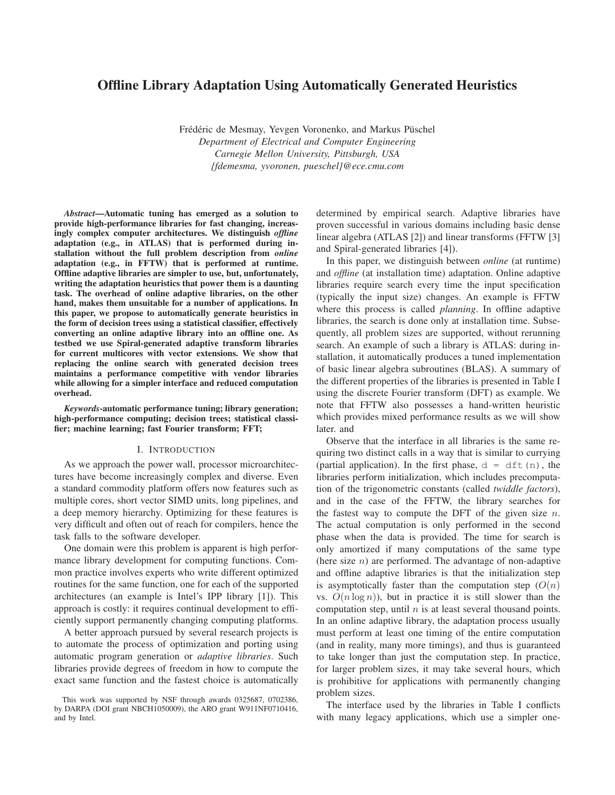# **Offline Library Adaptation Using Automatically Generated Heuristics**

Frédéric de Mesmay, Yevgen Voronenko, and Markus Püschel *Department of Electrical and Computer Engineering Carnegie Mellon University, Pittsburgh, USA {fdemesma, yvoronen, pueschel}@ece.cmu.com*

*Abstract***—Automatic tuning has emerged as a solution to provide high-performance libraries for fast changing, increasingly complex computer architectures. We distinguish** *offline* **adaptation (e.g., in ATLAS) that is performed during installation without the full problem description from** *online* **adaptation (e.g., in FFTW) that is performed at runtime. Offline adaptive libraries are simpler to use, but, unfortunately, writing the adaptation heuristics that power them is a daunting task. The overhead of online adaptive libraries, on the other hand, makes them unsuitable for a number of applications. In this paper, we propose to automatically generate heuristics in the form of decision trees using a statistical classifier, effectively converting an online adaptive library into an offline one. As testbed we use Spiral-generated adaptive transform libraries for current multicores with vector extensions. We show that replacing the online search with generated decision trees maintains a performance competitive with vendor libraries while allowing for a simpler interface and reduced computation overhead.**

*Keywords***-automatic performance tuning; library generation; high-performance computing; decision trees; statistical classifier; machine learning; fast Fourier transform; FFT;**

#### I. INTRODUCTION

As we approach the power wall, processor microarchitectures have become increasingly complex and diverse. Even a standard commodity platform offers now features such as multiple cores, short vector SIMD units, long pipelines, and a deep memory hierarchy. Optimizing for these features is very difficult and often out of reach for compilers, hence the task falls to the software developer.

One domain were this problem is apparent is high performance library development for computing functions. Common practice involves experts who write different optimized routines for the same function, one for each of the supported architectures (an example is Intel's IPP library [1]). This approach is costly: it requires continual development to efficiently support permanently changing computing platforms.

A better approach pursued by several research projects is to automate the process of optimization and porting using automatic program generation or *adaptive libraries*. Such libraries provide degrees of freedom in how to compute the exact same function and the fastest choice is automatically determined by empirical search. Adaptive libraries have proven successful in various domains including basic dense linear algebra (ATLAS [2]) and linear transforms (FFTW [3] and Spiral-generated libraries [4]).

In this paper, we distinguish between *online* (at runtime) and *offline* (at installation time) adaptation. Online adaptive libraries require search every time the input specification (typically the input size) changes. An example is FFTW where this process is called *planning*. In offline adaptive libraries, the search is done only at installation time. Subsequently, all problem sizes are supported, without rerunning search. An example of such a library is ATLAS: during installation, it automatically produces a tuned implementation of basic linear algebra subroutines (BLAS). A summary of the different properties of the libraries is presented in Table I using the discrete Fourier transform (DFT) as example. We note that FFTW also possesses a hand-written heuristic which provides mixed performance results as we will show later. and

Observe that the interface in all libraries is the same requiring two distinct calls in a way that is similar to currying (partial application). In the first phase,  $d = dft(n)$ , the libraries perform initialization, which includes precomputation of the trigonometric constants (called *twiddle factors*), and in the case of the FFTW, the library searches for the fastest way to compute the DFT of the given size  $n$ . The actual computation is only performed in the second phase when the data is provided. The time for search is only amortized if many computations of the same type (here size  $n$ ) are performed. The advantage of non-adaptive and offline adaptive libraries is that the initialization step is asymptotically faster than the computation step  $(O(n))$ vs.  $O(n \log n)$ , but in practice it is still slower than the computation step, until  $n$  is at least several thousand points. In an online adaptive library, the adaptation process usually must perform at least one timing of the entire computation (and in reality, many more timings), and thus is guaranteed to take longer than just the computation step. In practice, for larger problem sizes, it may take several hours, which is prohibitive for applications with permanently changing problem sizes.

The interface used by the libraries in Table I conflicts with many legacy applications, which use a simpler one-

This work was supported by NSF through awards 0325687, 0702386, by DARPA (DOI grant NBCH1050009), the ARO grant W911NF0710416, and by Intel.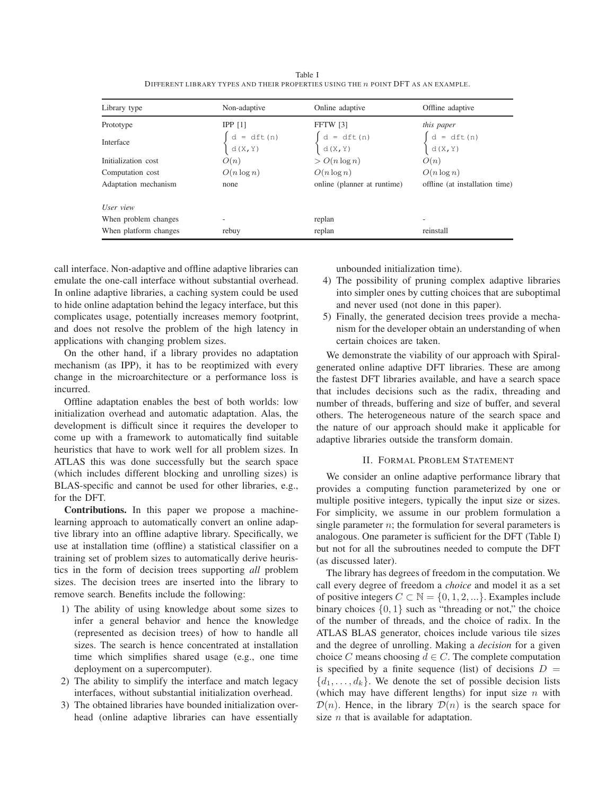Table I DIFFERENT LIBRARY TYPES AND THEIR PROPERTIES US ING THE n POINT DFT AS AN EXAMPLE.

| Library type          | Non-adaptive                                     | Online adaptive                                   | Offline adaptive                                                                                                                    |
|-----------------------|--------------------------------------------------|---------------------------------------------------|-------------------------------------------------------------------------------------------------------------------------------------|
| Prototype             | IPP [1]                                          | <b>FFTW</b> [3]                                   | this paper                                                                                                                          |
| Interface             | $\begin{cases} d = dft(n) \\ d(X,Y) \end{cases}$ | $\begin{cases} d = dft(n) \\ d(X, Y) \end{cases}$ | $\left\{ \begin{array}{ll} d & = \; \mathrm{dft}\left(n\right) \\ \mathrm{d}\left(\mathrm{X},\mathrm{Y}\right) \end{array} \right.$ |
| Initialization cost   | O(n)                                             | $\geq O(n \log n)$                                | O(n)                                                                                                                                |
| Computation cost      | $O(n \log n)$                                    | $O(n \log n)$                                     | $O(n \log n)$                                                                                                                       |
| Adaptation mechanism  | none                                             | online (planner at runtime)                       | offline (at installation time)                                                                                                      |
| User view             |                                                  |                                                   |                                                                                                                                     |
| When problem changes  | ۰                                                | replan                                            |                                                                                                                                     |
| When platform changes | rebuy                                            | replan                                            | reinstall                                                                                                                           |

call interface. Non-adaptive and offline adaptive libraries can emulate the one-call interface without substantial overhead. In online adaptive libraries, a caching system could be used to hide online adaptation behind the legacy interface, but this complicates usage, potentially increases memory footprint, and does not resolve the problem of the high latency in applications with changing problem sizes.

On the other hand, if a library provides no adaptation mechanism (as IPP), it has to be reoptimized with every change in the microarchitecture or a performance loss is incurred.

Offline adaptation enables the best of both worlds: low initialization overhead and automatic adaptation. Alas, the development is difficult since it requires the developer to come up with a framework to automatically find suitable heuristics that have to work well for all problem sizes. In ATLAS this was done successfully but the search space (which includes different blocking and unrolling sizes) is BLAS-specific and cannot be used for other libraries, e.g., for the DFT.

**Contributions.** In this paper we propose a machinelearning approach to automatically convert an online adaptive library into an offline adaptive library. Specifically, we use at installation time (offline) a statistical classifier on a training set of problem sizes to automatically derive heuristics in the form of decision trees supporting *all* problem sizes. The decision trees are inserted into the library to remove search. Benefits include the following:

- 1) The ability of using knowledge about some sizes to infer a general behavior and hence the knowledge (represented as decision trees) of how to handle all sizes. The search is hence concentrated at installation time which simplifies shared usage (e.g., one time deployment on a supercomputer).
- 2) The ability to simplify the interface and match legacy interfaces, without substantial initialization overhead.
- 3) The obtained libraries have bounded initialization overhead (online adaptive libraries can have essentially

unbounded initialization time).

- 4) The possibility of pruning complex adaptive libraries into simpler ones by cutting choices that are suboptimal and never used (not done in this paper).
- 5) Finally, the generated decision trees provide a mechanism for the developer obtain an understanding of when certain choices are taken.

We demonstrate the viability of our approach with Spiralgenerated online adaptive DFT libraries. These are among the fastest DFT libraries available, and have a search space that includes decisions such as the radix, threading and number of threads, buffering and size of buffer, and several others. The heterogeneous nature of the search space and the nature of our approach should make it applicable for adaptive libraries outside the transform domain.

#### II. FORMAL PROBLEM STATEMENT

We consider an online adaptive performance library that provides a computing function parameterized by one or multiple positive integers, typically the input size or sizes. For simplicity, we assume in our problem formulation a single parameter  $n$ ; the formulation for several parameters is analogous. One parameter is sufficient for the DFT (Table I) but not for all the subroutines needed to compute the DFT (as discussed later).

The library has degrees of freedom in the computation. We call every degree of freedom a *choice* and model it as a set of positive integers  $C \subset \mathbb{N} = \{0, 1, 2, ...\}$ . Examples include binary choices  $\{0, 1\}$  such as "threading or not," the choice of the number of threads, and the choice of radix. In the ATLAS BLAS generator, choices include various tile sizes and the degree of unrolling. Making a *decision* for a given choice C means choosing  $d \in C$ . The complete computation is specified by a finite sequence (list) of decisions  $D =$  $\{d_1, \ldots, d_k\}$ . We denote the set of possible decision lists (which may have different lengths) for input size  $n$  with  $\mathcal{D}(n)$ . Hence, in the library  $\mathcal{D}(n)$  is the search space for size  $n$  that is available for adaptation.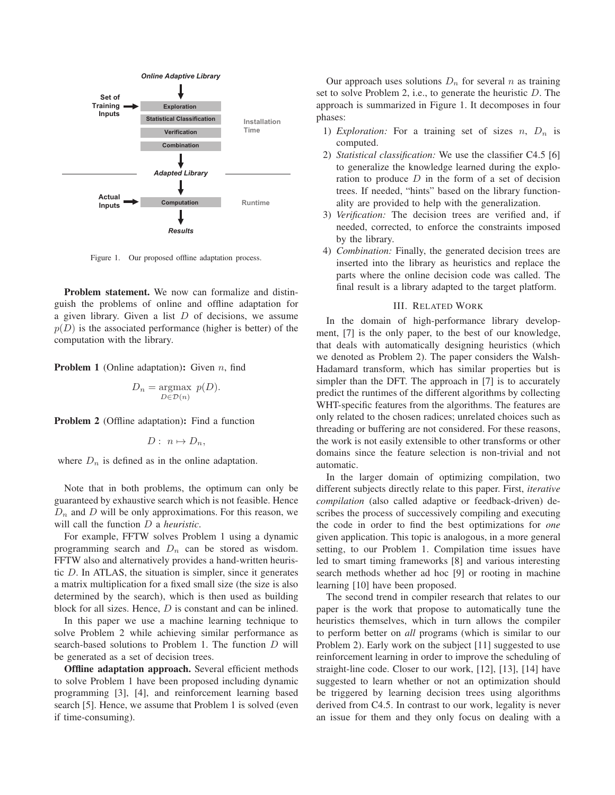

Figure 1. Our proposed offline adaptation process.

**Problem statement.** We now can formalize and distinguish the problems of online and offline adaptation for a given library. Given a list  $D$  of decisions, we assume  $p(D)$  is the associated performance (higher is better) of the computation with the library.

**Problem 1** (Online adaptation): Given *n*, find

$$
D_n = \underset{D \in \mathcal{D}(n)}{\operatorname{argmax}} \ p(D).
$$

**Problem 2** (Offline adaptation)**:** Find a function

$$
D: n \mapsto D_n,
$$

where  $D_n$  is defined as in the online adaptation.

Note that in both problems, the optimum can only be guaranteed by exhaustive search which is not feasible. Hence  $D_n$  and  $D$  will be only approximations. For this reason, we will call the function D a *heuristic*.

For example, FFTW solves Problem 1 using a dynamic programming search and  $D_n$  can be stored as wisdom. FFTW also and alternatively provides a hand-written heuristic  $D$ . In ATLAS, the situation is simpler, since it generates a matrix multiplication for a fixed small size (the size is also determined by the search), which is then used as building block for all sizes. Hence, D is constant and can be inlined.

In this paper we use a machine learning technique to solve Problem 2 while achieving similar performance as search-based solutions to Problem 1. The function D will be generated as a set of decision trees.

**Offline adaptation approach.** Several efficient methods to solve Problem 1 have been proposed including dynamic programming [3], [4], and reinforcement learning based search [5]. Hence, we assume that Problem 1 is solved (even if time-consuming).

Our approach uses solutions  $D_n$  for several n as training set to solve Problem 2, i.e., to generate the heuristic  $D$ . The approach is summarized in Figure 1. It decomposes in four phases:

- 1) *Exploration:* For a training set of sizes  $n$ ,  $D_n$  is computed.
- 2) *Statistical classification:* We use the classifier C4.5 [6] to generalize the knowledge learned during the exploration to produce  $D$  in the form of a set of decision trees. If needed, "hints" based on the library functionality are provided to help with the generalization.
- 3) *Verification:* The decision trees are verified and, if needed, corrected, to enforce the constraints imposed by the library.
- 4) *Combination:* Finally, the generated decision trees are inserted into the library as heuristics and replace the parts where the online decision code was called. The final result is a library adapted to the target platform.

#### III. RELATED WORK

In the domain of high-performance library development, [7] is the only paper, to the best of our knowledge, that deals with automatically designing heuristics (which we denoted as Problem 2). The paper considers the Walsh-Hadamard transform, which has similar properties but is simpler than the DFT. The approach in [7] is to accurately predict the runtimes of the different algorithms by collecting WHT-specific features from the algorithms. The features are only related to the chosen radices; unrelated choices such as threading or buffering are not considered. For these reasons, the work is not easily extensible to other transforms or other domains since the feature selection is non-trivial and not automatic.

In the larger domain of optimizing compilation, two different subjects directly relate to this paper. First, *iterative compilation* (also called adaptive or feedback-driven) describes the process of successively compiling and executing the code in order to find the best optimizations for *one* given application. This topic is analogous, in a more general setting, to our Problem 1. Compilation time issues have led to smart timing frameworks [8] and various interesting search methods whether ad hoc [9] or rooting in machine learning [10] have been proposed.

The second trend in compiler research that relates to our paper is the work that propose to automatically tune the heuristics themselves, which in turn allows the compiler to perform better on *all* programs (which is similar to our Problem 2). Early work on the subject [11] suggested to use reinforcement learning in order to improve the scheduling of straight-line code. Closer to our work, [12], [13], [14] have suggested to learn whether or not an optimization should be triggered by learning decision trees using algorithms derived from C4.5. In contrast to our work, legality is never an issue for them and they only focus on dealing with a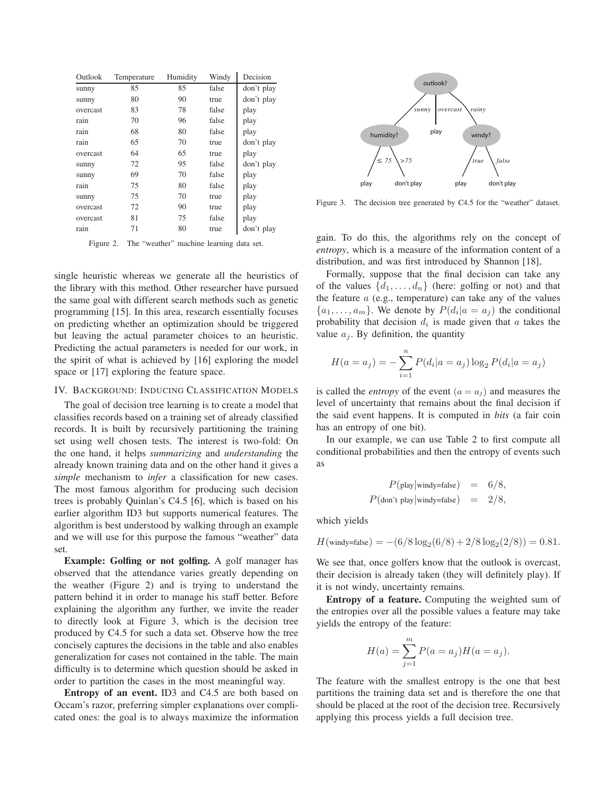| Outlook  | Temperature | Humidity | Windy | Decision   |
|----------|-------------|----------|-------|------------|
| sunny    | 85          | 85       | false | don't play |
| sunny    | 80          | 90       | true  | don't play |
| overcast | 83          | 78       | false | play       |
| rain     | 70          | 96       | false | play       |
| rain     | 68          | 80       | false | play       |
| rain     | 65          | 70       | true  | don't play |
| overcast | 64          | 65       | true  | play       |
| sunny    | 72          | 95       | false | don't play |
| sunny    | 69          | 70       | false | play       |
| rain     | 75          | 80       | false | play       |
| sunny    | 75          | 70       | true  | play       |
| overcast | 72          | 90       | true  | play       |
| overcast | 81          | 75       | false | play       |
| rain     | 71          | 80       | true  | don't play |

Figure 2. The "weather" machine learning data set.

single heuristic whereas we generate all the heuristics of the library with this method. Other researcher have pursued the same goal with different search methods such as genetic programming [15]. In this area, research essentially focuses on predicting whether an optimization should be triggered but leaving the actual parameter choices to an heuristic. Predicting the actual parameters is needed for our work, in the spirit of what is achieved by [16] exploring the model space or [17] exploring the feature space.

## IV. BACKGROUND: INDUCING CLASSIFICATION MODELS

The goal of decision tree learning is to create a model that classifies records based on a training set of already classified records. It is built by recursively partitioning the training set using well chosen tests. The interest is two-fold: On the one hand, it helps *summarizing* and *understanding* the already known training data and on the other hand it gives a *simple* mechanism to *infer* a classification for new cases. The most famous algorithm for producing such decision trees is probably Quinlan's C4.5 [6], which is based on his earlier algorithm ID3 but supports numerical features. The algorithm is best understood by walking through an example and we will use for this purpose the famous "weather" data set.

**Example: Golfing or not golfing.** A golf manager has observed that the attendance varies greatly depending on the weather (Figure 2) and is trying to understand the pattern behind it in order to manage his staff better. Before explaining the algorithm any further, we invite the reader to directly look at Figure 3, which is the decision tree produced by C4.5 for such a data set. Observe how the tree concisely captures the decisions in the table and also enables generalization for cases not contained in the table. The main difficulty is to determine which question should be asked in order to partition the cases in the most meaningful way.

**Entropy of an event.** ID3 and C4.5 are both based on Occam's razor, preferring simpler explanations over complicated ones: the goal is to always maximize the information



Figure 3. The decision tree generated by C4.5 for the "weather" dataset.

gain. To do this, the algorithms rely on the concept of *entropy*, which is a measure of the information content of a distribution, and was first introduced by Shannon [18],

Formally, suppose that the final decision can take any of the values  $\{d_1, \ldots, d_n\}$  (here: golfing or not) and that the feature  $a$  (e.g., temperature) can take any of the values  $\{a_1, \ldots, a_m\}$ . We denote by  $P(d_i|a = a_j)$  the conditional probability that decision  $d_i$  is made given that  $a$  takes the value  $a_i$ . By definition, the quantity

$$
H(a = a_j) = -\sum_{i=1}^{n} P(d_i | a = a_j) \log_2 P(d_i | a = a_j)
$$

is called the *entropy* of the event  $(a = a_j)$  and measures the level of uncertainty that remains about the final decision if the said event happens. It is computed in *bits* (a fair coin has an entropy of one bit).

In our example, we can use Table 2 to first compute all conditional probabilities and then the entropy of events such as

$$
P(\text{play}|\text{windy=false}) = 6/8,
$$
  

$$
P(\text{don't play}|\text{windy=false}) = 2/8,
$$

which yields

$$
H(\text{windy-false}) = -(6/8 \log_2(6/8) + 2/8 \log_2(2/8)) = 0.81.
$$

We see that, once golfers know that the outlook is overcast, their decision is already taken (they will definitely play). If it is not windy, uncertainty remains.

**Entropy of a feature.** Computing the weighted sum of the entropies over all the possible values a feature may take yields the entropy of the feature:

$$
H(a) = \sum_{j=1}^{m} P(a = a_j) H(a = a_j).
$$

The feature with the smallest entropy is the one that best partitions the training data set and is therefore the one that should be placed at the root of the decision tree. Recursively applying this process yields a full decision tree.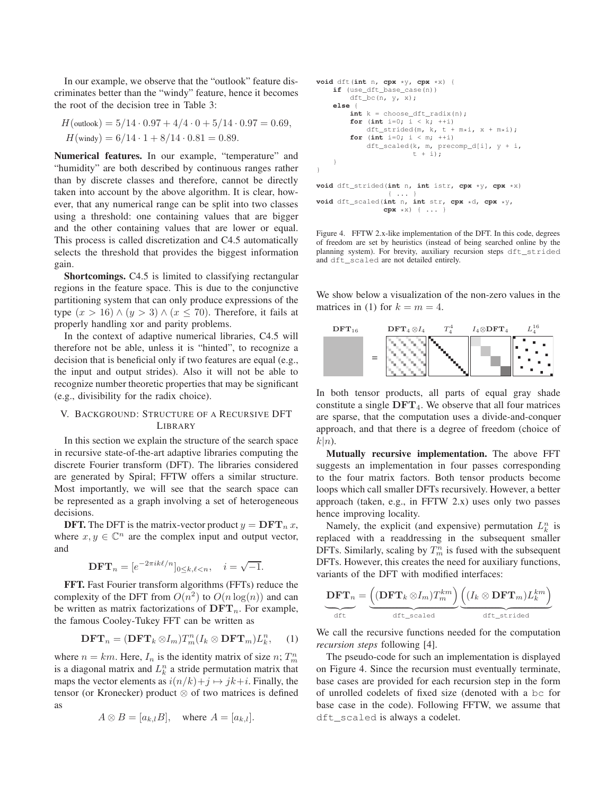In our example, we observe that the "outlook" feature discriminates better than the "windy" feature, hence it becomes the root of the decision tree in Table 3:

$$
H(\text{outlook}) = 5/14 \cdot 0.97 + 4/4 \cdot 0 + 5/14 \cdot 0.97 = 0.69,
$$
  

$$
H(\text{windy}) = 6/14 \cdot 1 + 8/14 \cdot 0.81 = 0.89.
$$

**Numerical features.** In our example, "temperature" and "humidity" are both described by continuous ranges rather than by discrete classes and therefore, cannot be directly taken into account by the above algorithm. It is clear, however, that any numerical range can be split into two classes using a threshold: one containing values that are bigger and the other containing values that are lower or equal. This process is called discretization and C4.5 automatically selects the threshold that provides the biggest information gain.

**Shortcomings.** C4.5 is limited to classifying rectangular regions in the feature space. This is due to the conjunctive partitioning system that can only produce expressions of the type  $(x > 16) \wedge (y > 3) \wedge (x \le 70)$ . Therefore, it fails at properly handling xor and parity problems.

In the context of adaptive numerical libraries, C4.5 will therefore not be able, unless it is "hinted", to recognize a decision that is beneficial only if two features are equal (e.g., the input and output strides). Also it will not be able to recognize number theoretic properties that may be significant (e.g., divisibility for the radix choice).

## V. BACKGROUND: STRUCTURE OF A RECURSIVE DFT LIBRARY

In this section we explain the structure of the search space in recursive state-of-the-art adaptive libraries computing the discrete Fourier transform (DFT). The libraries considered are generated by Spiral; FFTW offers a similar structure. Most importantly, we will see that the search space can be represented as a graph involving a set of heterogeneous decisions.

**DFT.** The DFT is the matrix-vector product  $y = DFT_n x$ , where  $x, y \in \mathbb{C}^n$  are the complex input and output vector, and

$$
\mathbf{DFT}_n = [e^{-2\pi ik\ell/n}]_{0 \le k,\ell < n}, \quad i = \sqrt{-1}.
$$

**FFT.** Fast Fourier transform algorithms (FFTs) reduce the complexity of the DFT from  $O(n^2)$  to  $O(n \log(n))$  and can be written as matrix factorizations of  $\text{DFT}_n$ . For example, the famous Cooley-Tukey FFT can be written as

$$
\mathbf{DFT}_n = (\mathbf{DFT}_k \otimes I_m) T_m^n (I_k \otimes \mathbf{DFT}_m) L_k^n, \quad (1)
$$

where  $n = km$ . Here,  $I_n$  is the identity matrix of size  $n$ ;  $T_m^n$ is a diagonal matrix and  $L_k^n$  a stride permutation matrix that maps the vector elements as  $i(n/k)+j \mapsto jk+i$ . Finally, the tensor (or Kronecker) product  $\otimes$  of two matrices is defined as

$$
A \otimes B = [a_{k,l}B], \quad \text{where } A = [a_{k,l}].
$$

```
void dft(int n, cpx *y, cpx *x) {
    if (use_dft_base_case(n))
       dft_bc(n, y, x);
    else {
        int k = choose_dft_radix(n);
        for (int i=0; i < k; ++i)
           dft_strided(m, k, t + m*i, x + m*i);
        for (int i=0; i < m; i+1)
            dft_scaled(k, m, precomp_d[i], y + i,
                       t + i);
    }
}
void dft_strided(int n, int istr, cpx *y, cpx *x)
                 { ... }
void dft_scaled(int n, int str, cpx *d, cpx *y,
```
**cpx** \*x) { ... }

Figure 4. FFTW 2.x-like implementation of the DFT. In this code, degrees of freedom are set by heuristics (instead of being searched online by the planning system). For brevity, auxiliary recursion steps dft\_strided and dft\_scaled are not detailed entirely.

We show below a visualization of the non-zero values in the matrices in (1) for  $k = m = 4$ .



In both tensor products, all parts of equal gray shade constitute a single  $DFT<sub>4</sub>$ . We observe that all four matrices are sparse, that the computation uses a divide-and-conquer approach, and that there is a degree of freedom (choice of  $k|n$ .

**Mutually recursive implementation.** The above FFT suggests an implementation in four passes corresponding to the four matrix factors. Both tensor products become loops which call smaller DFTs recursively. However, a better approach (taken, e.g., in FFTW 2.x) uses only two passes hence improving locality.

Namely, the explicit (and expensive) permutation  $L_k^n$  is replaced with a readdressing in the subsequent smaller DFTs. Similarly, scaling by  $T_m^n$  is fused with the subsequent DFTs. However, this creates the need for auxiliary functions, variants of the DFT with modified interfaces:

$$
\underbrace{\mathbf{DFT}_n}_{\text{dft}} = \underbrace{\left((\mathbf{DFT}_k \otimes I_m)T^{km}_m\right)}_{\text{dft\_scaled}} \underbrace{\left((I_k \otimes \mathbf{DFT}_m)L^{km}_k\right)}_{\text{dft\_strided}}
$$

We call the recursive functions needed for the computation *recursion steps* following [4].

The pseudo-code for such an implementation is displayed on Figure 4. Since the recursion must eventually terminate, base cases are provided for each recursion step in the form of unrolled codelets of fixed size (denoted with a bc for base case in the code). Following FFTW, we assume that dft\_scaled is always a codelet.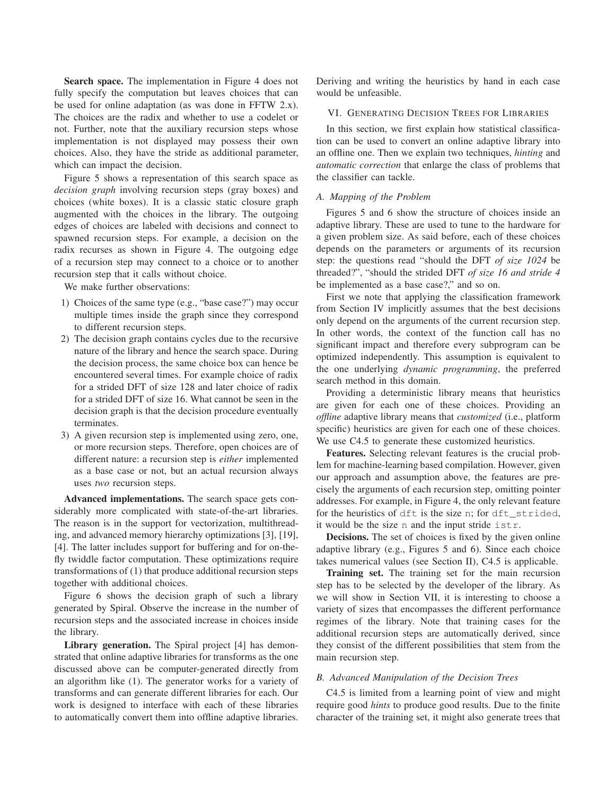**Search space.** The implementation in Figure 4 does not fully specify the computation but leaves choices that can be used for online adaptation (as was done in FFTW 2.x). The choices are the radix and whether to use a codelet or not. Further, note that the auxiliary recursion steps whose implementation is not displayed may possess their own choices. Also, they have the stride as additional parameter, which can impact the decision.

Figure 5 shows a representation of this search space as *decision graph* involving recursion steps (gray boxes) and choices (white boxes). It is a classic static closure graph augmented with the choices in the library. The outgoing edges of choices are labeled with decisions and connect to spawned recursion steps. For example, a decision on the radix recurses as shown in Figure 4. The outgoing edge of a recursion step may connect to a choice or to another recursion step that it calls without choice.

We make further observations:

- 1) Choices of the same type (e.g., "base case?") may occur multiple times inside the graph since they correspond to different recursion steps.
- 2) The decision graph contains cycles due to the recursive nature of the library and hence the search space. During the decision process, the same choice box can hence be encountered several times. For example choice of radix for a strided DFT of size 128 and later choice of radix for a strided DFT of size 16. What cannot be seen in the decision graph is that the decision procedure eventually terminates.
- 3) A given recursion step is implemented using zero, one, or more recursion steps. Therefore, open choices are of different nature: a recursion step is *either* implemented as a base case or not, but an actual recursion always uses *two* recursion steps.

**Advanced implementations.** The search space gets considerably more complicated with state-of-the-art libraries. The reason is in the support for vectorization, multithreading, and advanced memory hierarchy optimizations [3], [19], [4]. The latter includes support for buffering and for on-thefly twiddle factor computation. These optimizations require transformations of (1) that produce additional recursion steps together with additional choices.

Figure 6 shows the decision graph of such a library generated by Spiral. Observe the increase in the number of recursion steps and the associated increase in choices inside the library.

**Library generation.** The Spiral project [4] has demonstrated that online adaptive libraries for transforms as the one discussed above can be computer-generated directly from an algorithm like (1). The generator works for a variety of transforms and can generate different libraries for each. Our work is designed to interface with each of these libraries to automatically convert them into offline adaptive libraries.

Deriving and writing the heuristics by hand in each case would be unfeasible.

#### VI. GENERATING DECISION TREES FOR LIBRARIES

In this section, we first explain how statistical classification can be used to convert an online adaptive library into an offline one. Then we explain two techniques, *hinting* and *automatic correction* that enlarge the class of problems that the classifier can tackle.

#### *A. Mapping of the Problem*

Figures 5 and 6 show the structure of choices inside an adaptive library. These are used to tune to the hardware for a given problem size. As said before, each of these choices depends on the parameters or arguments of its recursion step: the questions read "should the DFT *of size 1024* be threaded?", "should the strided DFT *of size 16 and stride 4* be implemented as a base case?," and so on.

First we note that applying the classification framework from Section IV implicitly assumes that the best decisions only depend on the arguments of the current recursion step. In other words, the context of the function call has no significant impact and therefore every subprogram can be optimized independently. This assumption is equivalent to the one underlying *dynamic programming*, the preferred search method in this domain.

Providing a deterministic library means that heuristics are given for each one of these choices. Providing an *offline* adaptive library means that *customized* (i.e., platform specific) heuristics are given for each one of these choices. We use C4.5 to generate these customized heuristics.

**Features.** Selecting relevant features is the crucial problem for machine-learning based compilation. However, given our approach and assumption above, the features are precisely the arguments of each recursion step, omitting pointer addresses. For example, in Figure 4, the only relevant feature for the heuristics of dft is the size n; for dft\_strided, it would be the size n and the input stride istr.

**Decisions.** The set of choices is fixed by the given online adaptive library (e.g., Figures 5 and 6). Since each choice takes numerical values (see Section II), C4.5 is applicable.

**Training set.** The training set for the main recursion step has to be selected by the developer of the library. As we will show in Section VII, it is interesting to choose a variety of sizes that encompasses the different performance regimes of the library. Note that training cases for the additional recursion steps are automatically derived, since they consist of the different possibilities that stem from the main recursion step.

#### *B. Advanced Manipulation of the Decision Trees*

C4.5 is limited from a learning point of view and might require good *hints* to produce good results. Due to the finite character of the training set, it might also generate trees that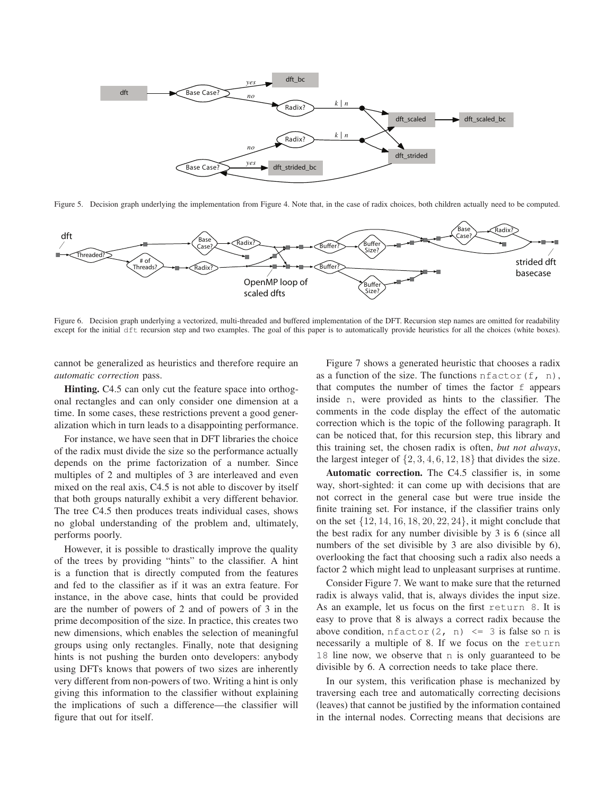

Figure 5. Decision graph underlying the implementation from Figure 4. Note that, in the case of radix choices, both children actually need to be computed.



Figure 6. Decision graph underlying a vectorized, multi-threaded and buffered implementation of the DFT. Recursion step names are omitted for readability except for the initial dft recursion step and two examples. The goal of this paper is to automatically provide heuristics for all the choices (white boxes).

cannot be generalized as heuristics and therefore require an *automatic correction* pass.

**Hinting.** C4.5 can only cut the feature space into orthogonal rectangles and can only consider one dimension at a time. In some cases, these restrictions prevent a good generalization which in turn leads to a disappointing performance.

For instance, we have seen that in DFT libraries the choice of the radix must divide the size so the performance actually depends on the prime factorization of a number. Since multiples of 2 and multiples of 3 are interleaved and even mixed on the real axis, C4.5 is not able to discover by itself that both groups naturally exhibit a very different behavior. The tree C4.5 then produces treats individual cases, shows no global understanding of the problem and, ultimately, performs poorly.

However, it is possible to drastically improve the quality of the trees by providing "hints" to the classifier. A hint is a function that is directly computed from the features and fed to the classifier as if it was an extra feature. For instance, in the above case, hints that could be provided are the number of powers of 2 and of powers of 3 in the prime decomposition of the size. In practice, this creates two new dimensions, which enables the selection of meaningful groups using only rectangles. Finally, note that designing hints is not pushing the burden onto developers: anybody using DFTs knows that powers of two sizes are inherently very different from non-powers of two. Writing a hint is only giving this information to the classifier without explaining the implications of such a difference—the classifier will figure that out for itself.

Figure 7 shows a generated heuristic that chooses a radix as a function of the size. The functions  $nfactor(f, n)$ , that computes the number of times the factor f appears inside n, were provided as hints to the classifier. The comments in the code display the effect of the automatic correction which is the topic of the following paragraph. It can be noticed that, for this recursion step, this library and this training set, the chosen radix is often, *but not always*, the largest integer of  $\{2, 3, 4, 6, 12, 18\}$  that divides the size.

**Automatic correction.** The C4.5 classifier is, in some way, short-sighted: it can come up with decisions that are not correct in the general case but were true inside the finite training set. For instance, if the classifier trains only on the set  $\{12, 14, 16, 18, 20, 22, 24\}$ , it might conclude that the best radix for any number divisible by 3 is 6 (since all numbers of the set divisible by 3 are also divisible by 6), overlooking the fact that choosing such a radix also needs a factor 2 which might lead to unpleasant surprises at runtime.

Consider Figure 7. We want to make sure that the returned radix is always valid, that is, always divides the input size. As an example, let us focus on the first return 8. It is easy to prove that 8 is always a correct radix because the above condition,  $nfactor(2, n) \leq 3$  is false so n is necessarily a multiple of 8. If we focus on the return 18 line now, we observe that n is only guaranteed to be divisible by 6. A correction needs to take place there.

In our system, this verification phase is mechanized by traversing each tree and automatically correcting decisions (leaves) that cannot be justified by the information contained in the internal nodes. Correcting means that decisions are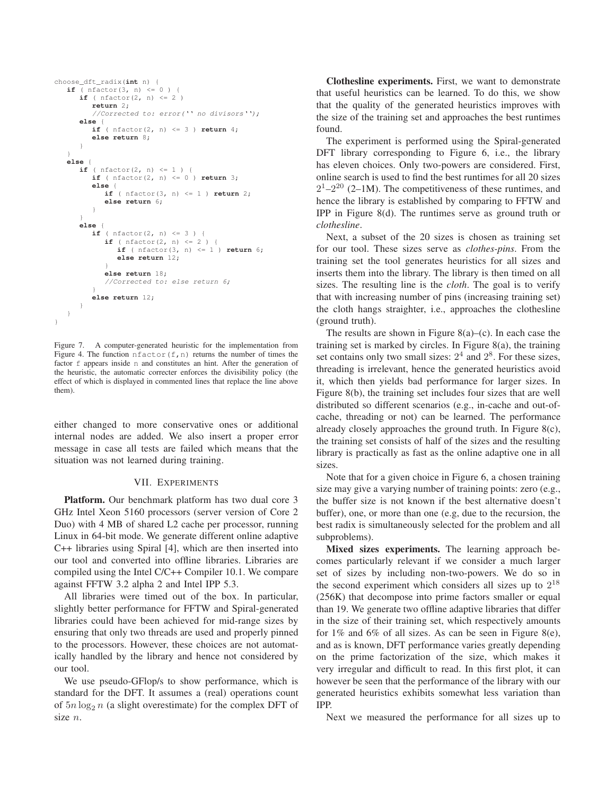```
choose_dft_radix(int n) {
   if ( nfactor(3, n) \leq 0 ) {
      if ( nfactor(2, n) \leq 2 )
         return 2;
          //Corrected to: error('' no divisors'');
      else {
         if ( nfactor(2, n) \leq 3 ) return 4;
         else return 8;
      }
   }
   else {
      if ( nfactor(2, n) \leq 1 ) {
         if ( nfactor(2, n) <= 0 ) return 3;
         else {
            if ( nfactor(3, n) <= 1 ) return 2;
            else return 6;
          }
      }
      else {
         if ( nfactor(2, n) \leq 3 ) {
            if ( nfactor(2, n) \le 2 ) {
                if ( nfactor(3, n) \leq 1 ) return 6;
                else return 12;
             }
else return 18;
             //Corrected to: else return 6;
          }
         else return 12;
      }
  }
}
```
Figure 7. A computer-generated heuristic for the implementation from Figure 4. The function  $nfactor(f, n)$  returns the number of times the factor  $f$  appears inside n and constitutes an hint. After the generation of the heuristic, the automatic correcter enforces the divisibility policy (the effect of which is displayed in commented lines that replace the line above them).

either changed to more conservative ones or additional internal nodes are added. We also insert a proper error message in case all tests are failed which means that the situation was not learned during training.

### VII. EXPERIMENTS

**Platform.** Our benchmark platform has two dual core 3 GHz Intel Xeon 5160 processors (server version of Core 2 Duo) with 4 MB of shared L2 cache per processor, running Linux in 64-bit mode. We generate different online adaptive C++ libraries using Spiral [4], which are then inserted into our tool and converted into offline libraries. Libraries are compiled using the Intel C/C++ Compiler 10.1. We compare against FFTW 3.2 alpha 2 and Intel IPP 5.3.

All libraries were timed out of the box. In particular, slightly better performance for FFTW and Spiral-generated libraries could have been achieved for mid-range sizes by ensuring that only two threads are used and properly pinned to the processors. However, these choices are not automatically handled by the library and hence not considered by our tool.

We use pseudo-GFlop/s to show performance, which is standard for the DFT. It assumes a (real) operations count of  $5n \log_2 n$  (a slight overestimate) for the complex DFT of size n.

**Clothesline experiments.** First, we want to demonstrate that useful heuristics can be learned. To do this, we show that the quality of the generated heuristics improves with the size of the training set and approaches the best runtimes found.

The experiment is performed using the Spiral-generated DFT library corresponding to Figure 6, i.e., the library has eleven choices. Only two-powers are considered. First, online search is used to find the best runtimes for all 20 sizes  $2^{1} - 2^{20}$  (2–1M). The competitiveness of these runtimes, and hence the library is established by comparing to FFTW and IPP in Figure 8(d). The runtimes serve as ground truth or *clothesline*.

Next, a subset of the 20 sizes is chosen as training set for our tool. These sizes serve as *clothes-pins*. From the training set the tool generates heuristics for all sizes and inserts them into the library. The library is then timed on all sizes. The resulting line is the *cloth*. The goal is to verify that with increasing number of pins (increasing training set) the cloth hangs straighter, i.e., approaches the clothesline (ground truth).

The results are shown in Figure  $8(a)$ –(c). In each case the training set is marked by circles. In Figure 8(a), the training set contains only two small sizes:  $2<sup>4</sup>$  and  $2<sup>8</sup>$ . For these sizes, threading is irrelevant, hence the generated heuristics avoid it, which then yields bad performance for larger sizes. In Figure 8(b), the training set includes four sizes that are well distributed so different scenarios (e.g., in-cache and out-ofcache, threading or not) can be learned. The performance already closely approaches the ground truth. In Figure 8(c), the training set consists of half of the sizes and the resulting library is practically as fast as the online adaptive one in all sizes.

Note that for a given choice in Figure 6, a chosen training size may give a varying number of training points: zero (e.g., the buffer size is not known if the best alternative doesn't buffer), one, or more than one (e.g, due to the recursion, the best radix is simultaneously selected for the problem and all subproblems).

**Mixed sizes experiments.** The learning approach becomes particularly relevant if we consider a much larger set of sizes by including non-two-powers. We do so in the second experiment which considers all sizes up to  $2^{18}$ (256K) that decompose into prime factors smaller or equal than 19. We generate two offline adaptive libraries that differ in the size of their training set, which respectively amounts for  $1\%$  and  $6\%$  of all sizes. As can be seen in Figure 8(e), and as is known, DFT performance varies greatly depending on the prime factorization of the size, which makes it very irregular and difficult to read. In this first plot, it can however be seen that the performance of the library with our generated heuristics exhibits somewhat less variation than IPP.

Next we measured the performance for all sizes up to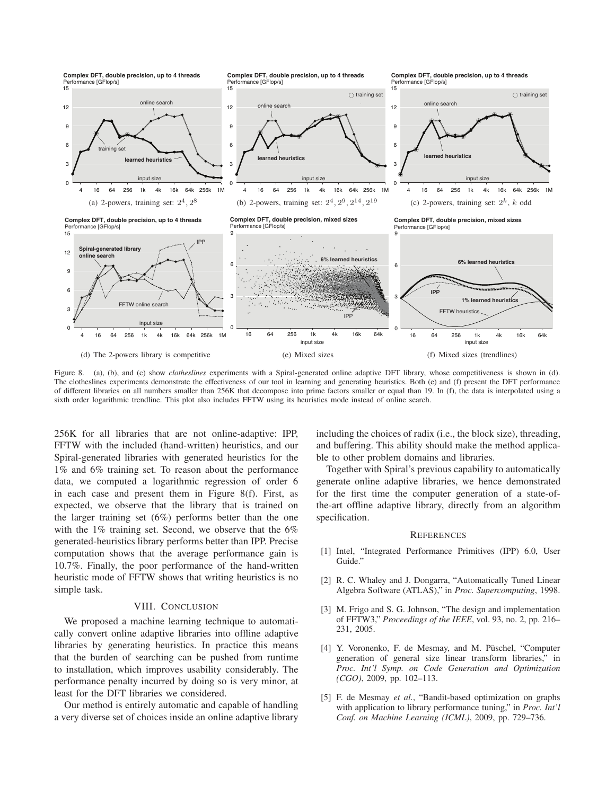

Figure 8. (a), (b), and (c) show *clotheslines* experiments with a Spiral-generated online adaptive DFT library, whose competitiveness is shown in (d). The clotheslines experiments demonstrate the effectiveness of our tool in learning and generating heuristics. Both (e) and (f) present the DFT performance of different libraries on all numbers smaller than 256K that decompose into prime factors smaller or equal than 19. In (f), the data is interpolated using a sixth order logarithmic trendline. This plot also includes FFTW using its heuristics mode instead of online search.

256K for all libraries that are not online-adaptive: IPP, FFTW with the included (hand-written) heuristics, and our Spiral-generated libraries with generated heuristics for the 1% and 6% training set. To reason about the performance data, we computed a logarithmic regression of order 6 in each case and present them in Figure 8(f). First, as expected, we observe that the library that is trained on the larger training set (6%) performs better than the one with the 1% training set. Second, we observe that the 6% generated-heuristics library performs better than IPP. Precise computation shows that the average performance gain is 10.7%. Finally, the poor performance of the hand-written heuristic mode of FFTW shows that writing heuristics is no simple task.

### VIII. CONCLUSION

We proposed a machine learning technique to automatically convert online adaptive libraries into offline adaptive libraries by generating heuristics. In practice this means that the burden of searching can be pushed from runtime to installation, which improves usability considerably. The performance penalty incurred by doing so is very minor, at least for the DFT libraries we considered.

Our method is entirely automatic and capable of handling a very diverse set of choices inside an online adaptive library including the choices of radix (i.e., the block size), threading, and buffering. This ability should make the method applicable to other problem domains and libraries.

Together with Spiral's previous capability to automatically generate online adaptive libraries, we hence demonstrated for the first time the computer generation of a state-ofthe-art offline adaptive library, directly from an algorithm specification.

#### **REFERENCES**

- [1] Intel, "Integrated Performance Primitives (IPP) 6.0, User Guide.'
- [2] R. C. Whaley and J. Dongarra, "Automatically Tuned Linear Algebra Software (ATLAS)," in *Proc. Supercomputing*, 1998.
- [3] M. Frigo and S. G. Johnson, "The design and implementation of FFTW3," *Proceedings of the IEEE*, vol. 93, no. 2, pp. 216– 231, 2005.
- [4] Y. Voronenko, F. de Mesmay, and M. Püschel, "Computer generation of general size linear transform libraries," in *Proc. Int'l Symp. on Code Generation and Optimization (CGO)*, 2009, pp. 102–113.
- [5] F. de Mesmay *et al.*, "Bandit-based optimization on graphs with application to library performance tuning," in *Proc. Int'l Conf. on Machine Learning (ICML)*, 2009, pp. 729–736.